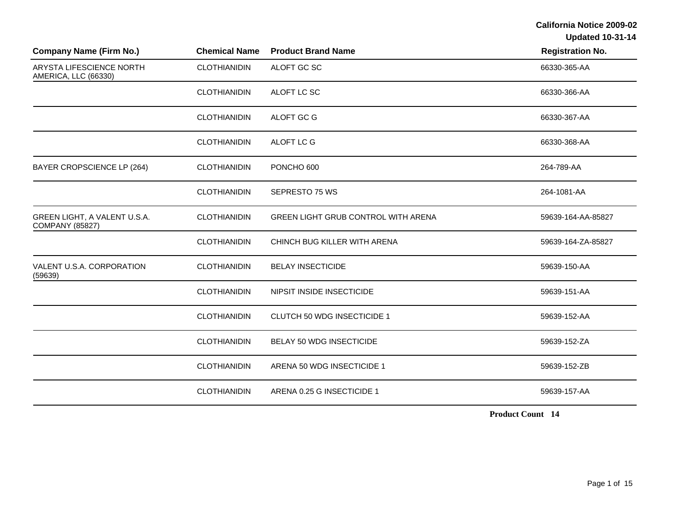**Updated 10-31-14** 

| <b>Company Name (Firm No.)</b>                         | <b>Chemical Name</b> | <b>Product Brand Name</b>                  | <b>Registration No.</b> |
|--------------------------------------------------------|----------------------|--------------------------------------------|-------------------------|
| ARYSTA LIFESCIENCE NORTH<br>AMERICA, LLC (66330)       | <b>CLOTHIANIDIN</b>  | ALOFT GC SC                                | 66330-365-AA            |
|                                                        | <b>CLOTHIANIDIN</b>  | ALOFT LC SC                                | 66330-366-AA            |
|                                                        | <b>CLOTHIANIDIN</b>  | ALOFT GC G                                 | 66330-367-AA            |
|                                                        | <b>CLOTHIANIDIN</b>  | ALOFT LC G                                 | 66330-368-AA            |
| BAYER CROPSCIENCE LP (264)                             | <b>CLOTHIANIDIN</b>  | PONCHO 600                                 | 264-789-AA              |
|                                                        | <b>CLOTHIANIDIN</b>  | SEPRESTO 75 WS                             | 264-1081-AA             |
| GREEN LIGHT, A VALENT U.S.A.<br><b>COMPANY (85827)</b> | <b>CLOTHIANIDIN</b>  | <b>GREEN LIGHT GRUB CONTROL WITH ARENA</b> | 59639-164-AA-85827      |
|                                                        | <b>CLOTHIANIDIN</b>  | CHINCH BUG KILLER WITH ARENA               | 59639-164-ZA-85827      |
| VALENT U.S.A. CORPORATION<br>(59639)                   | <b>CLOTHIANIDIN</b>  | <b>BELAY INSECTICIDE</b>                   | 59639-150-AA            |
|                                                        | <b>CLOTHIANIDIN</b>  | NIPSIT INSIDE INSECTICIDE                  | 59639-151-AA            |
|                                                        | <b>CLOTHIANIDIN</b>  | <b>CLUTCH 50 WDG INSECTICIDE 1</b>         | 59639-152-AA            |
|                                                        | <b>CLOTHIANIDIN</b>  | BELAY 50 WDG INSECTICIDE                   | 59639-152-ZA            |
|                                                        | <b>CLOTHIANIDIN</b>  | ARENA 50 WDG INSECTICIDE 1                 | 59639-152-ZB            |
|                                                        | <b>CLOTHIANIDIN</b>  | ARENA 0.25 G INSECTICIDE 1                 | 59639-157-AA            |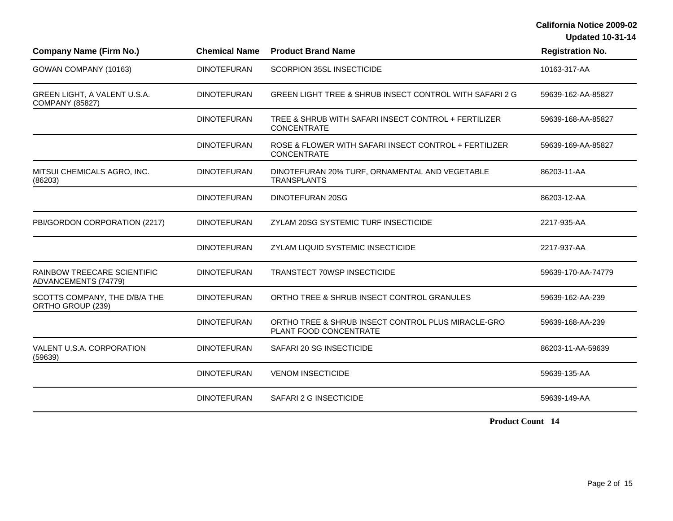**Updated 10-31-14** 

| <b>Company Name (Firm No.)</b>                             | <b>Chemical Name</b> | <b>Product Brand Name</b>                                                    | <b>Registration No.</b> |
|------------------------------------------------------------|----------------------|------------------------------------------------------------------------------|-------------------------|
| GOWAN COMPANY (10163)                                      | <b>DINOTEFURAN</b>   | <b>SCORPION 35SL INSECTICIDE</b>                                             | 10163-317-AA            |
| GREEN LIGHT, A VALENT U.S.A.<br><b>COMPANY (85827)</b>     | <b>DINOTEFURAN</b>   | GREEN LIGHT TREE & SHRUB INSECT CONTROL WITH SAFARI 2 G                      | 59639-162-AA-85827      |
|                                                            | <b>DINOTEFURAN</b>   | TREE & SHRUB WITH SAFARI INSECT CONTROL + FERTILIZER<br><b>CONCENTRATE</b>   | 59639-168-AA-85827      |
|                                                            | <b>DINOTEFURAN</b>   | ROSE & FLOWER WITH SAFARI INSECT CONTROL + FERTILIZER<br><b>CONCENTRATE</b>  | 59639-169-AA-85827      |
| MITSUI CHEMICALS AGRO, INC.<br>(86203)                     | <b>DINOTEFURAN</b>   | DINOTEFURAN 20% TURF, ORNAMENTAL AND VEGETABLE<br><b>TRANSPLANTS</b>         | 86203-11-AA             |
|                                                            | <b>DINOTEFURAN</b>   | DINOTEFURAN 20SG                                                             | 86203-12-AA             |
| PBI/GORDON CORPORATION (2217)                              | <b>DINOTEFURAN</b>   | ZYLAM 20SG SYSTEMIC TURF INSECTICIDE                                         | 2217-935-AA             |
|                                                            | <b>DINOTEFURAN</b>   | <b>ZYLAM LIQUID SYSTEMIC INSECTICIDE</b>                                     | 2217-937-AA             |
| <b>RAINBOW TREECARE SCIENTIFIC</b><br>ADVANCEMENTS (74779) | <b>DINOTEFURAN</b>   | <b>TRANSTECT 70WSP INSECTICIDE</b>                                           | 59639-170-AA-74779      |
| SCOTTS COMPANY, THE D/B/A THE<br>ORTHO GROUP (239)         | <b>DINOTEFURAN</b>   | ORTHO TREE & SHRUB INSECT CONTROL GRANULES                                   | 59639-162-AA-239        |
|                                                            | <b>DINOTEFURAN</b>   | ORTHO TREE & SHRUB INSECT CONTROL PLUS MIRACLE-GRO<br>PLANT FOOD CONCENTRATE | 59639-168-AA-239        |
| VALENT U.S.A. CORPORATION<br>(59639)                       | <b>DINOTEFURAN</b>   | SAFARI 20 SG INSECTICIDE                                                     | 86203-11-AA-59639       |
|                                                            | <b>DINOTEFURAN</b>   | <b>VENOM INSECTICIDE</b>                                                     | 59639-135-AA            |
|                                                            | <b>DINOTEFURAN</b>   | SAFARI 2 G INSECTICIDE                                                       | 59639-149-AA            |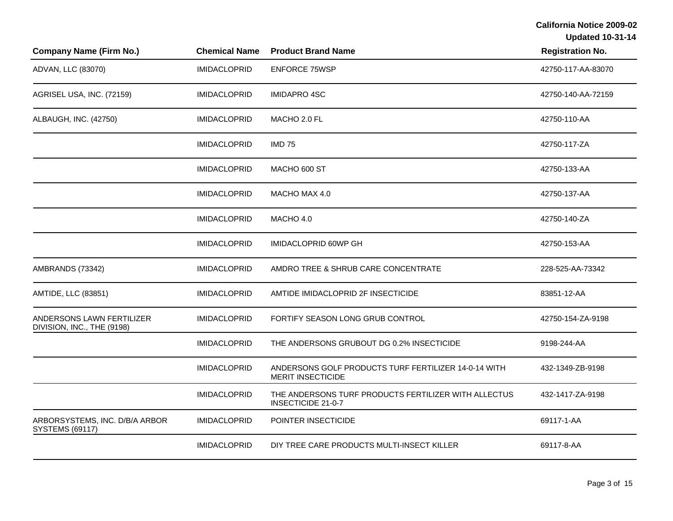| <b>Company Name (Firm No.)</b>                           | <b>Chemical Name</b> | <b>Product Brand Name</b>                                                         | <b>Registration No.</b> |
|----------------------------------------------------------|----------------------|-----------------------------------------------------------------------------------|-------------------------|
| ADVAN, LLC (83070)                                       | <b>IMIDACLOPRID</b>  | <b>ENFORCE 75WSP</b>                                                              | 42750-117-AA-83070      |
| AGRISEL USA, INC. (72159)                                | <b>IMIDACLOPRID</b>  | <b>IMIDAPRO 4SC</b>                                                               | 42750-140-AA-72159      |
| ALBAUGH, INC. (42750)                                    | <b>IMIDACLOPRID</b>  | MACHO 2.0 FL                                                                      | 42750-110-AA            |
|                                                          | <b>IMIDACLOPRID</b>  | <b>IMD 75</b>                                                                     | 42750-117-ZA            |
|                                                          | <b>IMIDACLOPRID</b>  | MACHO 600 ST                                                                      | 42750-133-AA            |
|                                                          | <b>IMIDACLOPRID</b>  | MACHO MAX 4.0                                                                     | 42750-137-AA            |
|                                                          | <b>IMIDACLOPRID</b>  | MACHO 4.0                                                                         | 42750-140-ZA            |
|                                                          | <b>IMIDACLOPRID</b>  | IMIDACLOPRID 60WP GH                                                              | 42750-153-AA            |
| AMBRANDS (73342)                                         | <b>IMIDACLOPRID</b>  | AMDRO TREE & SHRUB CARE CONCENTRATE                                               | 228-525-AA-73342        |
| AMTIDE, LLC (83851)                                      | <b>IMIDACLOPRID</b>  | AMTIDE IMIDACLOPRID 2F INSECTICIDE                                                | 83851-12-AA             |
| ANDERSONS LAWN FERTILIZER<br>DIVISION, INC., THE (9198)  | <b>IMIDACLOPRID</b>  | FORTIFY SEASON LONG GRUB CONTROL                                                  | 42750-154-ZA-9198       |
|                                                          | <b>IMIDACLOPRID</b>  | THE ANDERSONS GRUBOUT DG 0.2% INSECTICIDE                                         | 9198-244-AA             |
|                                                          | <b>IMIDACLOPRID</b>  | ANDERSONS GOLF PRODUCTS TURF FERTILIZER 14-0-14 WITH<br><b>MERIT INSECTICIDE</b>  | 432-1349-ZB-9198        |
|                                                          | <b>IMIDACLOPRID</b>  | THE ANDERSONS TURF PRODUCTS FERTILIZER WITH ALLECTUS<br><b>INSECTICIDE 21-0-7</b> | 432-1417-ZA-9198        |
| ARBORSYSTEMS, INC. D/B/A ARBOR<br><b>SYSTEMS (69117)</b> | <b>IMIDACLOPRID</b>  | POINTER INSECTICIDE                                                               | 69117-1-AA              |
|                                                          | <b>IMIDACLOPRID</b>  | DIY TREE CARE PRODUCTS MULTI-INSECT KILLER                                        | 69117-8-AA              |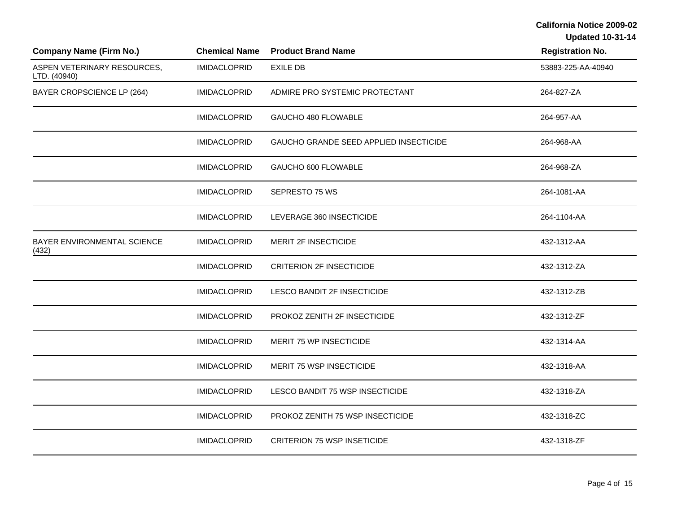| <b>Company Name (Firm No.)</b>              | <b>Chemical Name</b> | <b>Product Brand Name</b>              | <b>Registration No.</b> |
|---------------------------------------------|----------------------|----------------------------------------|-------------------------|
| ASPEN VETERINARY RESOURCES,<br>LTD. (40940) | <b>IMIDACLOPRID</b>  | <b>EXILE DB</b>                        | 53883-225-AA-40940      |
| BAYER CROPSCIENCE LP (264)                  | <b>IMIDACLOPRID</b>  | ADMIRE PRO SYSTEMIC PROTECTANT         | 264-827-ZA              |
|                                             | <b>IMIDACLOPRID</b>  | GAUCHO 480 FLOWABLE                    | 264-957-AA              |
|                                             | <b>IMIDACLOPRID</b>  | GAUCHO GRANDE SEED APPLIED INSECTICIDE | 264-968-AA              |
|                                             | <b>IMIDACLOPRID</b>  | GAUCHO 600 FLOWABLE                    | 264-968-ZA              |
|                                             | <b>IMIDACLOPRID</b>  | SEPRESTO 75 WS                         | 264-1081-AA             |
|                                             | <b>IMIDACLOPRID</b>  | LEVERAGE 360 INSECTICIDE               | 264-1104-AA             |
| BAYER ENVIRONMENTAL SCIENCE<br>(432)        | <b>IMIDACLOPRID</b>  | MERIT 2F INSECTICIDE                   | 432-1312-AA             |
|                                             | <b>IMIDACLOPRID</b>  | <b>CRITERION 2F INSECTICIDE</b>        | 432-1312-ZA             |
|                                             | <b>IMIDACLOPRID</b>  | LESCO BANDIT 2F INSECTICIDE            | 432-1312-ZB             |
|                                             | <b>IMIDACLOPRID</b>  | PROKOZ ZENITH 2F INSECTICIDE           | 432-1312-ZF             |
|                                             | <b>IMIDACLOPRID</b>  | MERIT 75 WP INSECTICIDE                | 432-1314-AA             |
|                                             | <b>IMIDACLOPRID</b>  | MERIT 75 WSP INSECTICIDE               | 432-1318-AA             |
|                                             | <b>IMIDACLOPRID</b>  | LESCO BANDIT 75 WSP INSECTICIDE        | 432-1318-ZA             |
|                                             | <b>IMIDACLOPRID</b>  | PROKOZ ZENITH 75 WSP INSECTICIDE       | 432-1318-ZC             |
|                                             | <b>IMIDACLOPRID</b>  | <b>CRITERION 75 WSP INSETICIDE</b>     | 432-1318-ZF             |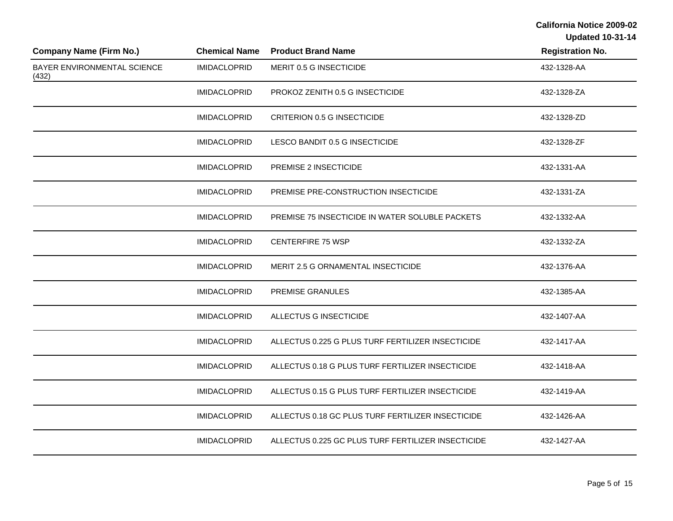| <b>Company Name (Firm No.)</b>       | <b>Chemical Name</b> | <b>Product Brand Name</b>                          | <b>Registration No.</b> |
|--------------------------------------|----------------------|----------------------------------------------------|-------------------------|
| BAYER ENVIRONMENTAL SCIENCE<br>(432) | <b>IMIDACLOPRID</b>  | MERIT 0.5 G INSECTICIDE                            | 432-1328-AA             |
|                                      | <b>IMIDACLOPRID</b>  | PROKOZ ZENITH 0.5 G INSECTICIDE                    | 432-1328-ZA             |
|                                      | <b>IMIDACLOPRID</b>  | <b>CRITERION 0.5 G INSECTICIDE</b>                 | 432-1328-ZD             |
|                                      | <b>IMIDACLOPRID</b>  | LESCO BANDIT 0.5 G INSECTICIDE                     | 432-1328-ZF             |
|                                      | <b>IMIDACLOPRID</b>  | PREMISE 2 INSECTICIDE                              | 432-1331-AA             |
|                                      | <b>IMIDACLOPRID</b>  | PREMISE PRE-CONSTRUCTION INSECTICIDE               | 432-1331-ZA             |
|                                      | <b>IMIDACLOPRID</b>  | PREMISE 75 INSECTICIDE IN WATER SOLUBLE PACKETS    | 432-1332-AA             |
|                                      | <b>IMIDACLOPRID</b>  | <b>CENTERFIRE 75 WSP</b>                           | 432-1332-ZA             |
|                                      | <b>IMIDACLOPRID</b>  | MERIT 2.5 G ORNAMENTAL INSECTICIDE                 | 432-1376-AA             |
|                                      | <b>IMIDACLOPRID</b>  | <b>PREMISE GRANULES</b>                            | 432-1385-AA             |
|                                      | <b>IMIDACLOPRID</b>  | ALLECTUS G INSECTICIDE                             | 432-1407-AA             |
|                                      | <b>IMIDACLOPRID</b>  | ALLECTUS 0.225 G PLUS TURF FERTILIZER INSECTICIDE  | 432-1417-AA             |
|                                      | <b>IMIDACLOPRID</b>  | ALLECTUS 0.18 G PLUS TURF FERTILIZER INSECTICIDE   | 432-1418-AA             |
|                                      | <b>IMIDACLOPRID</b>  | ALLECTUS 0.15 G PLUS TURF FERTILIZER INSECTICIDE   | 432-1419-AA             |
|                                      | <b>IMIDACLOPRID</b>  | ALLECTUS 0.18 GC PLUS TURF FERTILIZER INSECTICIDE  | 432-1426-AA             |
|                                      | <b>IMIDACLOPRID</b>  | ALLECTUS 0.225 GC PLUS TURF FERTILIZER INSECTICIDE | 432-1427-AA             |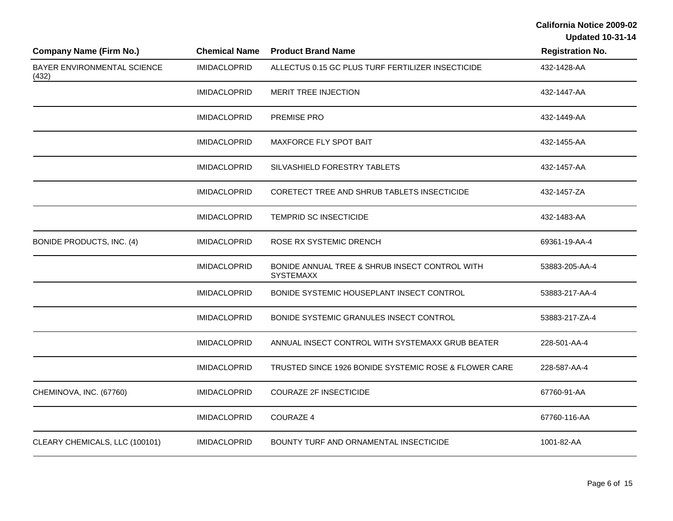| <b>Company Name (Firm No.)</b>              | <b>Chemical Name</b> | <b>Product Brand Name</b>                                          | <b>Registration No.</b> |
|---------------------------------------------|----------------------|--------------------------------------------------------------------|-------------------------|
| <b>BAYER ENVIRONMENTAL SCIENCE</b><br>(432) | <b>IMIDACLOPRID</b>  | ALLECTUS 0.15 GC PLUS TURF FERTILIZER INSECTICIDE                  | 432-1428-AA             |
|                                             | <b>IMIDACLOPRID</b>  | <b>MERIT TREE INJECTION</b>                                        | 432-1447-AA             |
|                                             | <b>IMIDACLOPRID</b>  | PREMISE PRO                                                        | 432-1449-AA             |
|                                             | <b>IMIDACLOPRID</b>  | MAXFORCE FLY SPOT BAIT                                             | 432-1455-AA             |
|                                             | <b>IMIDACLOPRID</b>  | SILVASHIELD FORESTRY TABLETS                                       | 432-1457-AA             |
|                                             | <b>IMIDACLOPRID</b>  | CORETECT TREE AND SHRUB TABLETS INSECTICIDE                        | 432-1457-ZA             |
|                                             | <b>IMIDACLOPRID</b>  | <b>TEMPRID SC INSECTICIDE</b>                                      | 432-1483-AA             |
| BONIDE PRODUCTS, INC. (4)                   | <b>IMIDACLOPRID</b>  | ROSE RX SYSTEMIC DRENCH                                            | 69361-19-AA-4           |
|                                             | <b>IMIDACLOPRID</b>  | BONIDE ANNUAL TREE & SHRUB INSECT CONTROL WITH<br><b>SYSTEMAXX</b> | 53883-205-AA-4          |
|                                             | <b>IMIDACLOPRID</b>  | BONIDE SYSTEMIC HOUSEPLANT INSECT CONTROL                          | 53883-217-AA-4          |
|                                             | <b>IMIDACLOPRID</b>  | BONIDE SYSTEMIC GRANULES INSECT CONTROL                            | 53883-217-ZA-4          |
|                                             | <b>IMIDACLOPRID</b>  | ANNUAL INSECT CONTROL WITH SYSTEMAXX GRUB BEATER                   | 228-501-AA-4            |
|                                             | <b>IMIDACLOPRID</b>  | TRUSTED SINCE 1926 BONIDE SYSTEMIC ROSE & FLOWER CARE              | 228-587-AA-4            |
| CHEMINOVA, INC. (67760)                     | <b>IMIDACLOPRID</b>  | <b>COURAZE 2F INSECTICIDE</b>                                      | 67760-91-AA             |
|                                             | <b>IMIDACLOPRID</b>  | <b>COURAZE 4</b>                                                   | 67760-116-AA            |
| CLEARY CHEMICALS, LLC (100101)              | <b>IMIDACLOPRID</b>  | BOUNTY TURF AND ORNAMENTAL INSECTICIDE                             | 1001-82-AA              |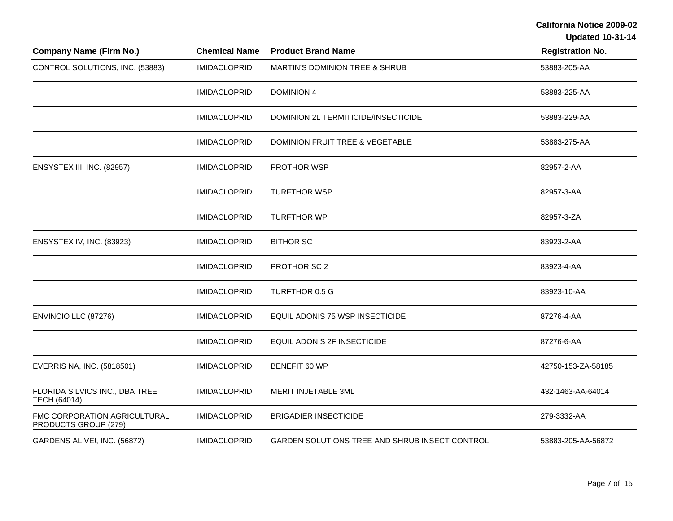| <b>Company Name (Firm No.)</b>                       | <b>Chemical Name</b> | <b>Product Brand Name</b>                      | <b>Registration No.</b> |
|------------------------------------------------------|----------------------|------------------------------------------------|-------------------------|
| CONTROL SOLUTIONS, INC. (53883)                      | <b>IMIDACLOPRID</b>  | MARTIN'S DOMINION TREE & SHRUB                 | 53883-205-AA            |
|                                                      | <b>IMIDACLOPRID</b>  | <b>DOMINION 4</b>                              | 53883-225-AA            |
|                                                      | <b>IMIDACLOPRID</b>  | DOMINION 2L TERMITICIDE/INSECTICIDE            | 53883-229-AA            |
|                                                      | <b>IMIDACLOPRID</b>  | DOMINION FRUIT TREE & VEGETABLE                | 53883-275-AA            |
| ENSYSTEX III, INC. (82957)                           | <b>IMIDACLOPRID</b>  | <b>PROTHOR WSP</b>                             | 82957-2-AA              |
|                                                      | <b>IMIDACLOPRID</b>  | <b>TURFTHOR WSP</b>                            | 82957-3-AA              |
|                                                      | <b>IMIDACLOPRID</b>  | <b>TURFTHOR WP</b>                             | 82957-3-ZA              |
| ENSYSTEX IV, INC. (83923)                            | <b>IMIDACLOPRID</b>  | <b>BITHOR SC</b>                               | 83923-2-AA              |
|                                                      | <b>IMIDACLOPRID</b>  | PROTHOR SC 2                                   | 83923-4-AA              |
|                                                      | <b>IMIDACLOPRID</b>  | TURFTHOR 0.5 G                                 | 83923-10-AA             |
| ENVINCIO LLC (87276)                                 | <b>IMIDACLOPRID</b>  | EQUIL ADONIS 75 WSP INSECTICIDE                | 87276-4-AA              |
|                                                      | <b>IMIDACLOPRID</b>  | EQUIL ADONIS 2F INSECTICIDE                    | 87276-6-AA              |
| EVERRIS NA, INC. (5818501)                           | <b>IMIDACLOPRID</b>  | BENEFIT 60 WP                                  | 42750-153-ZA-58185      |
| FLORIDA SILVICS INC., DBA TREE<br>TECH (64014)       | <b>IMIDACLOPRID</b>  | MERIT INJETABLE 3ML                            | 432-1463-AA-64014       |
| FMC CORPORATION AGRICULTURAL<br>PRODUCTS GROUP (279) | <b>IMIDACLOPRID</b>  | <b>BRIGADIER INSECTICIDE</b>                   | 279-3332-AA             |
| GARDENS ALIVE!, INC. (56872)                         | <b>IMIDACLOPRID</b>  | GARDEN SOLUTIONS TREE AND SHRUB INSECT CONTROL | 53883-205-AA-56872      |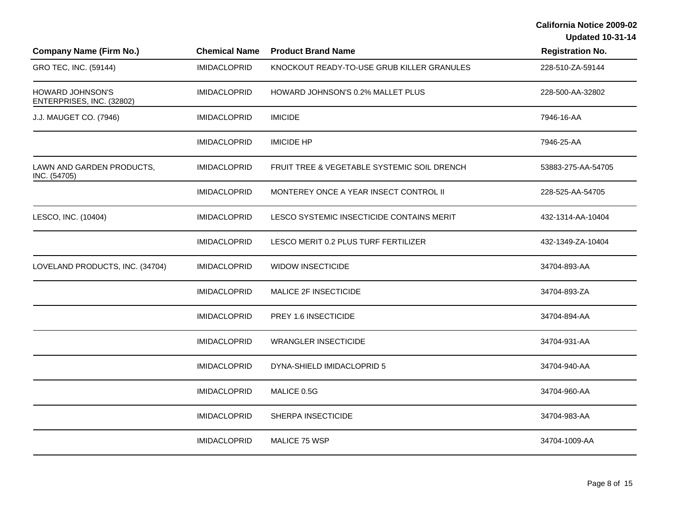| <b>Company Name (Firm No.)</b>                | <b>Chemical Name</b> | <b>Product Brand Name</b>                   | <b>Registration No.</b> |
|-----------------------------------------------|----------------------|---------------------------------------------|-------------------------|
| GRO TEC, INC. (59144)                         | <b>IMIDACLOPRID</b>  | KNOCKOUT READY-TO-USE GRUB KILLER GRANULES  | 228-510-ZA-59144        |
| HOWARD JOHNSON'S<br>ENTERPRISES, INC. (32802) | <b>IMIDACLOPRID</b>  | HOWARD JOHNSON'S 0.2% MALLET PLUS           | 228-500-AA-32802        |
| J.J. MAUGET CO. (7946)                        | <b>IMIDACLOPRID</b>  | <b>IMICIDE</b>                              | 7946-16-AA              |
|                                               | <b>IMIDACLOPRID</b>  | <b>IMICIDE HP</b>                           | 7946-25-AA              |
| LAWN AND GARDEN PRODUCTS,<br>INC. (54705)     | <b>IMIDACLOPRID</b>  | FRUIT TREE & VEGETABLE SYSTEMIC SOIL DRENCH | 53883-275-AA-54705      |
|                                               | <b>IMIDACLOPRID</b>  | MONTEREY ONCE A YEAR INSECT CONTROL II      | 228-525-AA-54705        |
| LESCO, INC. (10404)                           | <b>IMIDACLOPRID</b>  | LESCO SYSTEMIC INSECTICIDE CONTAINS MERIT   | 432-1314-AA-10404       |
|                                               | <b>IMIDACLOPRID</b>  | LESCO MERIT 0.2 PLUS TURF FERTILIZER        | 432-1349-ZA-10404       |
| LOVELAND PRODUCTS, INC. (34704)               | <b>IMIDACLOPRID</b>  | <b>WIDOW INSECTICIDE</b>                    | 34704-893-AA            |
|                                               | <b>IMIDACLOPRID</b>  | MALICE 2F INSECTICIDE                       | 34704-893-ZA            |
|                                               | <b>IMIDACLOPRID</b>  | PREY 1.6 INSECTICIDE                        | 34704-894-AA            |
|                                               | <b>IMIDACLOPRID</b>  | <b>WRANGLER INSECTICIDE</b>                 | 34704-931-AA            |
|                                               | <b>IMIDACLOPRID</b>  | DYNA-SHIELD IMIDACLOPRID 5                  | 34704-940-AA            |
|                                               | <b>IMIDACLOPRID</b>  | MALICE 0.5G                                 | 34704-960-AA            |
|                                               | <b>IMIDACLOPRID</b>  | SHERPA INSECTICIDE                          | 34704-983-AA            |
|                                               | <b>IMIDACLOPRID</b>  | MALICE 75 WSP                               | 34704-1009-AA           |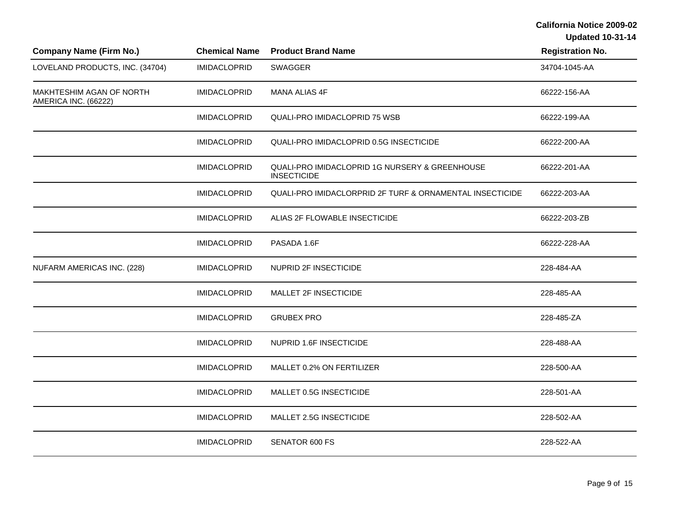| <b>Company Name (Firm No.)</b>                   | <b>Chemical Name</b> | <b>Product Brand Name</b>                                            | <b>Registration No.</b> |
|--------------------------------------------------|----------------------|----------------------------------------------------------------------|-------------------------|
| LOVELAND PRODUCTS, INC. (34704)                  | <b>IMIDACLOPRID</b>  | <b>SWAGGER</b>                                                       | 34704-1045-AA           |
| MAKHTESHIM AGAN OF NORTH<br>AMERICA INC. (66222) | <b>IMIDACLOPRID</b>  | MANA ALIAS 4F                                                        | 66222-156-AA            |
|                                                  | <b>IMIDACLOPRID</b>  | <b>QUALI-PRO IMIDACLOPRID 75 WSB</b>                                 | 66222-199-AA            |
|                                                  | <b>IMIDACLOPRID</b>  | QUALI-PRO IMIDACLOPRID 0.5G INSECTICIDE                              | 66222-200-AA            |
|                                                  | <b>IMIDACLOPRID</b>  | QUALI-PRO IMIDACLOPRID 1G NURSERY & GREENHOUSE<br><b>INSECTICIDE</b> | 66222-201-AA            |
|                                                  | <b>IMIDACLOPRID</b>  | QUALI-PRO IMIDACLORPRID 2F TURF & ORNAMENTAL INSECTICIDE             | 66222-203-AA            |
|                                                  | <b>IMIDACLOPRID</b>  | ALIAS 2F FLOWABLE INSECTICIDE                                        | 66222-203-ZB            |
|                                                  | <b>IMIDACLOPRID</b>  | PASADA 1.6F                                                          | 66222-228-AA            |
| NUFARM AMERICAS INC. (228)                       | <b>IMIDACLOPRID</b>  | NUPRID 2F INSECTICIDE                                                | 228-484-AA              |
|                                                  | <b>IMIDACLOPRID</b>  | MALLET 2F INSECTICIDE                                                | 228-485-AA              |
|                                                  | <b>IMIDACLOPRID</b>  | <b>GRUBEX PRO</b>                                                    | 228-485-ZA              |
|                                                  | <b>IMIDACLOPRID</b>  | NUPRID 1.6F INSECTICIDE                                              | 228-488-AA              |
|                                                  | <b>IMIDACLOPRID</b>  | MALLET 0.2% ON FERTILIZER                                            | 228-500-AA              |
|                                                  | <b>IMIDACLOPRID</b>  | MALLET 0.5G INSECTICIDE                                              | 228-501-AA              |
|                                                  | <b>IMIDACLOPRID</b>  | MALLET 2.5G INSECTICIDE                                              | 228-502-AA              |
|                                                  | <b>IMIDACLOPRID</b>  | SENATOR 600 FS                                                       | 228-522-AA              |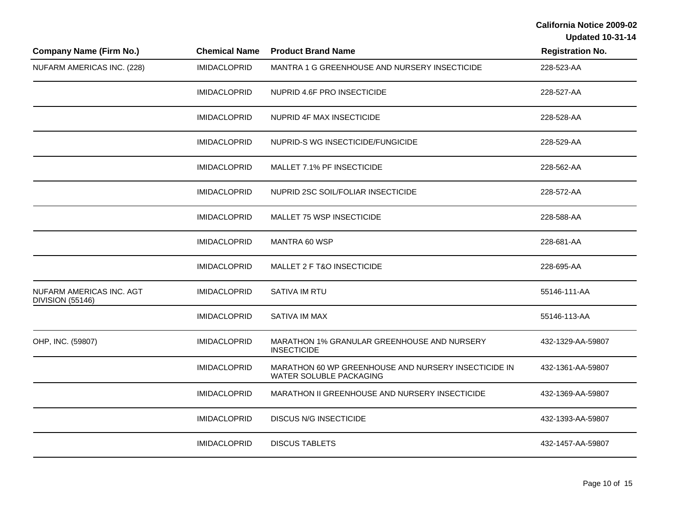| <b>Company Name (Firm No.)</b>                      | <b>Chemical Name</b> | <b>Product Brand Name</b>                                                       | <b>Registration No.</b> |
|-----------------------------------------------------|----------------------|---------------------------------------------------------------------------------|-------------------------|
| NUFARM AMERICAS INC. (228)                          | <b>IMIDACLOPRID</b>  | MANTRA 1 G GREENHOUSE AND NURSERY INSECTICIDE                                   | 228-523-AA              |
|                                                     | <b>IMIDACLOPRID</b>  | NUPRID 4.6F PRO INSECTICIDE                                                     | 228-527-AA              |
|                                                     | <b>IMIDACLOPRID</b>  | NUPRID 4F MAX INSECTICIDE                                                       | 228-528-AA              |
|                                                     | <b>IMIDACLOPRID</b>  | NUPRID-S WG INSECTICIDE/FUNGICIDE                                               | 228-529-AA              |
|                                                     | <b>IMIDACLOPRID</b>  | MALLET 7.1% PF INSECTICIDE                                                      | 228-562-AA              |
|                                                     | <b>IMIDACLOPRID</b>  | NUPRID 2SC SOIL/FOLIAR INSECTICIDE                                              | 228-572-AA              |
|                                                     | <b>IMIDACLOPRID</b>  | <b>MALLET 75 WSP INSECTICIDE</b>                                                | 228-588-AA              |
|                                                     | <b>IMIDACLOPRID</b>  | MANTRA 60 WSP                                                                   | 228-681-AA              |
|                                                     | <b>IMIDACLOPRID</b>  | MALLET 2 F T&O INSECTICIDE                                                      | 228-695-AA              |
| NUFARM AMERICAS INC. AGT<br><b>DIVISION (55146)</b> | <b>IMIDACLOPRID</b>  | SATIVA IM RTU                                                                   | 55146-111-AA            |
|                                                     | <b>IMIDACLOPRID</b>  | SATIVA IM MAX                                                                   | 55146-113-AA            |
| OHP, INC. (59807)                                   | <b>IMIDACLOPRID</b>  | MARATHON 1% GRANULAR GREENHOUSE AND NURSERY<br><b>INSECTICIDE</b>               | 432-1329-AA-59807       |
|                                                     | <b>IMIDACLOPRID</b>  | MARATHON 60 WP GREENHOUSE AND NURSERY INSECTICIDE IN<br>WATER SOLUBLE PACKAGING | 432-1361-AA-59807       |
|                                                     | <b>IMIDACLOPRID</b>  | MARATHON II GREENHOUSE AND NURSERY INSECTICIDE                                  | 432-1369-AA-59807       |
|                                                     | <b>IMIDACLOPRID</b>  | <b>DISCUS N/G INSECTICIDE</b>                                                   | 432-1393-AA-59807       |
|                                                     | <b>IMIDACLOPRID</b>  | <b>DISCUS TABLETS</b>                                                           | 432-1457-AA-59807       |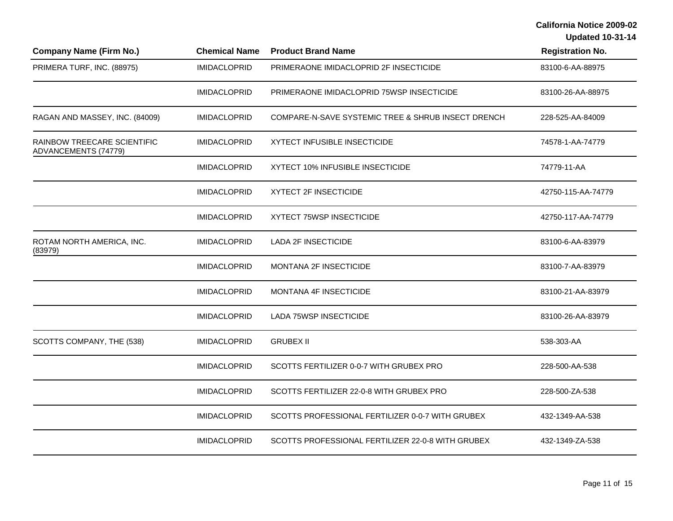| <b>Company Name (Firm No.)</b>                      | <b>Chemical Name</b> | <b>Product Brand Name</b>                          | <b>Registration No.</b> |
|-----------------------------------------------------|----------------------|----------------------------------------------------|-------------------------|
| PRIMERA TURF, INC. (88975)                          | <b>IMIDACLOPRID</b>  | PRIMERAONE IMIDACLOPRID 2F INSECTICIDE             | 83100-6-AA-88975        |
|                                                     | <b>IMIDACLOPRID</b>  | PRIMERAONE IMIDACLOPRID 75WSP INSECTICIDE          | 83100-26-AA-88975       |
| RAGAN AND MASSEY, INC. (84009)                      | <b>IMIDACLOPRID</b>  | COMPARE-N-SAVE SYSTEMIC TREE & SHRUB INSECT DRENCH | 228-525-AA-84009        |
| RAINBOW TREECARE SCIENTIFIC<br>ADVANCEMENTS (74779) | <b>IMIDACLOPRID</b>  | <b>XYTECT INFUSIBLE INSECTICIDE</b>                | 74578-1-AA-74779        |
|                                                     | <b>IMIDACLOPRID</b>  | XYTECT 10% INFUSIBLE INSECTICIDE                   | 74779-11-AA             |
|                                                     | <b>IMIDACLOPRID</b>  | <b>XYTECT 2F INSECTICIDE</b>                       | 42750-115-AA-74779      |
|                                                     | <b>IMIDACLOPRID</b>  | XYTECT 75WSP INSECTICIDE                           | 42750-117-AA-74779      |
| ROTAM NORTH AMERICA, INC.<br>(83979)                | <b>IMIDACLOPRID</b>  | <b>LADA 2F INSECTICIDE</b>                         | 83100-6-AA-83979        |
|                                                     | <b>IMIDACLOPRID</b>  | MONTANA 2F INSECTICIDE                             | 83100-7-AA-83979        |
|                                                     | <b>IMIDACLOPRID</b>  | <b>MONTANA 4F INSECTICIDE</b>                      | 83100-21-AA-83979       |
|                                                     | <b>IMIDACLOPRID</b>  | <b>LADA 75WSP INSECTICIDE</b>                      | 83100-26-AA-83979       |
| SCOTTS COMPANY, THE (538)                           | <b>IMIDACLOPRID</b>  | <b>GRUBEX II</b>                                   | 538-303-AA              |
|                                                     | <b>IMIDACLOPRID</b>  | SCOTTS FERTILIZER 0-0-7 WITH GRUBEX PRO            | 228-500-AA-538          |
|                                                     | <b>IMIDACLOPRID</b>  | SCOTTS FERTILIZER 22-0-8 WITH GRUBEX PRO           | 228-500-ZA-538          |
|                                                     | <b>IMIDACLOPRID</b>  | SCOTTS PROFESSIONAL FERTILIZER 0-0-7 WITH GRUBEX   | 432-1349-AA-538         |
|                                                     | <b>IMIDACLOPRID</b>  | SCOTTS PROFESSIONAL FERTILIZER 22-0-8 WITH GRUBEX  | 432-1349-ZA-538         |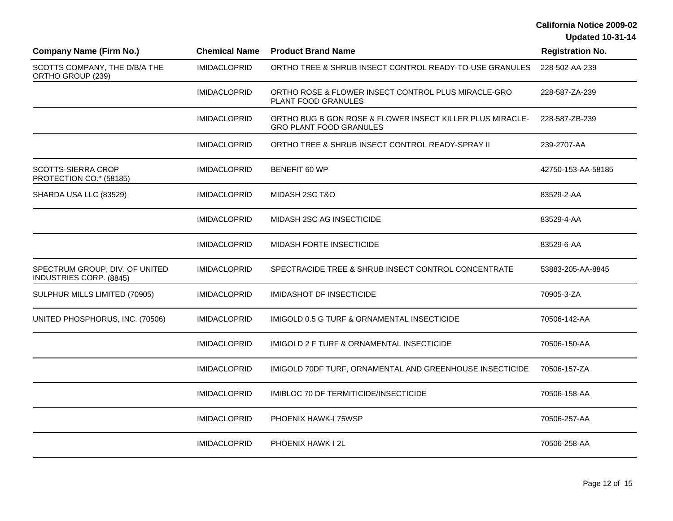| <b>Company Name (Firm No.)</b>                            | <b>Chemical Name</b> | <b>Product Brand Name</b>                                                                   | <b>Registration No.</b> |
|-----------------------------------------------------------|----------------------|---------------------------------------------------------------------------------------------|-------------------------|
| SCOTTS COMPANY, THE D/B/A THE<br>ORTHO GROUP (239)        | <b>IMIDACLOPRID</b>  | ORTHO TREE & SHRUB INSECT CONTROL READY-TO-USE GRANULES                                     | 228-502-AA-239          |
|                                                           | <b>IMIDACLOPRID</b>  | ORTHO ROSE & FLOWER INSECT CONTROL PLUS MIRACLE-GRO<br>PLANT FOOD GRANULES                  | 228-587-ZA-239          |
|                                                           | <b>IMIDACLOPRID</b>  | ORTHO BUG B GON ROSE & FLOWER INSECT KILLER PLUS MIRACLE-<br><b>GRO PLANT FOOD GRANULES</b> | 228-587-ZB-239          |
|                                                           | <b>IMIDACLOPRID</b>  | ORTHO TREE & SHRUB INSECT CONTROL READY-SPRAY II                                            | 239-2707-AA             |
| SCOTTS-SIERRA CROP<br>PROTECTION CO.* (58185)             | <b>IMIDACLOPRID</b>  | BENEFIT 60 WP                                                                               | 42750-153-AA-58185      |
| SHARDA USA LLC (83529)                                    | <b>IMIDACLOPRID</b>  | MIDASH 2SC T&O                                                                              | 83529-2-AA              |
|                                                           | <b>IMIDACLOPRID</b>  | MIDASH 2SC AG INSECTICIDE                                                                   | 83529-4-AA              |
|                                                           | <b>IMIDACLOPRID</b>  | MIDASH FORTE INSECTICIDE                                                                    | 83529-6-AA              |
| SPECTRUM GROUP, DIV. OF UNITED<br>INDUSTRIES CORP. (8845) | <b>IMIDACLOPRID</b>  | SPECTRACIDE TREE & SHRUB INSECT CONTROL CONCENTRATE                                         | 53883-205-AA-8845       |
| SULPHUR MILLS LIMITED (70905)                             | <b>IMIDACLOPRID</b>  | <b>IMIDASHOT DF INSECTICIDE</b>                                                             | 70905-3-ZA              |
| UNITED PHOSPHORUS, INC. (70506)                           | <b>IMIDACLOPRID</b>  | IMIGOLD 0.5 G TURF & ORNAMENTAL INSECTICIDE                                                 | 70506-142-AA            |
|                                                           | <b>IMIDACLOPRID</b>  | IMIGOLD 2 F TURF & ORNAMENTAL INSECTICIDE                                                   | 70506-150-AA            |
|                                                           | <b>IMIDACLOPRID</b>  | IMIGOLD 70DF TURF, ORNAMENTAL AND GREENHOUSE INSECTICIDE                                    | 70506-157-ZA            |
|                                                           | <b>IMIDACLOPRID</b>  | IMIBLOC 70 DF TERMITICIDE/INSECTICIDE                                                       | 70506-158-AA            |
|                                                           | <b>IMIDACLOPRID</b>  | PHOENIX HAWK-I 75WSP                                                                        | 70506-257-AA            |
|                                                           | <b>IMIDACLOPRID</b>  | <b>PHOENIX HAWK-I 2L</b>                                                                    | 70506-258-AA            |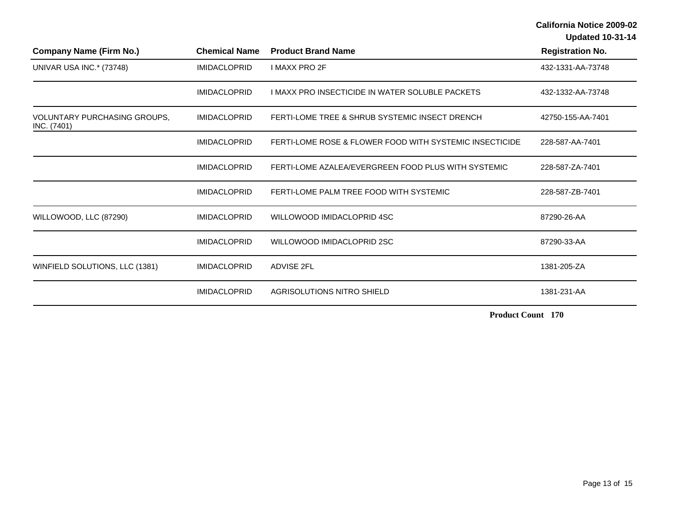**Updated 10-31-14** 

| <b>Company Name (Firm No.)</b>                     | <b>Chemical Name</b> | <b>Product Brand Name</b>                               | <b>Registration No.</b> |
|----------------------------------------------------|----------------------|---------------------------------------------------------|-------------------------|
| UNIVAR USA INC.* (73748)                           | <b>IMIDACLOPRID</b>  | <b>I MAXX PRO 2F</b>                                    | 432-1331-AA-73748       |
|                                                    | <b>IMIDACLOPRID</b>  | I MAXX PRO INSECTICIDE IN WATER SOLUBLE PACKETS         | 432-1332-AA-73748       |
| <b>VOLUNTARY PURCHASING GROUPS,</b><br>INC. (7401) | <b>IMIDACLOPRID</b>  | FERTI-LOME TREE & SHRUB SYSTEMIC INSECT DRENCH          | 42750-155-AA-7401       |
|                                                    | <b>IMIDACLOPRID</b>  | FERTI-LOME ROSE & FLOWER FOOD WITH SYSTEMIC INSECTICIDE | 228-587-AA-7401         |
|                                                    | <b>IMIDACLOPRID</b>  | FERTI-LOME AZALEA/EVERGREEN FOOD PLUS WITH SYSTEMIC     | 228-587-ZA-7401         |
|                                                    | <b>IMIDACLOPRID</b>  | FERTI-LOME PALM TREE FOOD WITH SYSTEMIC                 | 228-587-ZB-7401         |
| WILLOWOOD, LLC (87290)                             | <b>IMIDACLOPRID</b>  | WILLOWOOD IMIDACLOPRID 4SC                              | 87290-26-AA             |
|                                                    | <b>IMIDACLOPRID</b>  | WILLOWOOD IMIDACLOPRID 2SC                              | 87290-33-AA             |
| WINFIELD SOLUTIONS, LLC (1381)                     | <b>IMIDACLOPRID</b>  | <b>ADVISE 2FL</b>                                       | 1381-205-ZA             |
|                                                    | <b>IMIDACLOPRID</b>  | AGRISOLUTIONS NITRO SHIELD                              | 1381-231-AA             |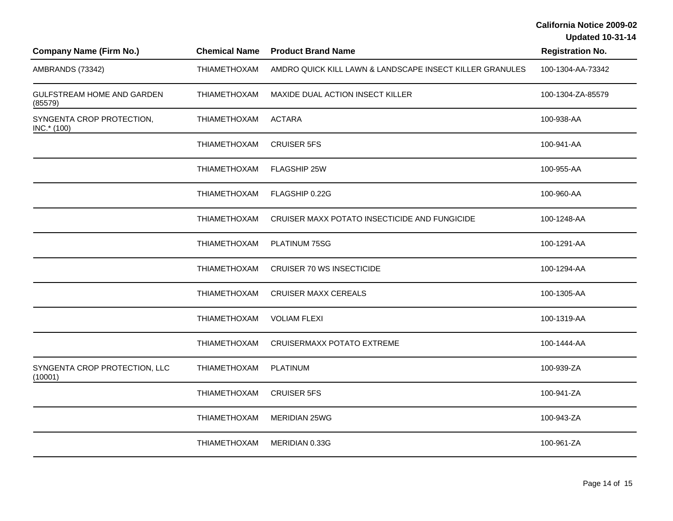| <b>Company Name (Firm No.)</b>           | <b>Chemical Name</b> | <b>Product Brand Name</b>                                | <b>Registration No.</b> |  |
|------------------------------------------|----------------------|----------------------------------------------------------|-------------------------|--|
| AMBRANDS (73342)                         | THIAMETHOXAM         | AMDRO QUICK KILL LAWN & LANDSCAPE INSECT KILLER GRANULES | 100-1304-AA-73342       |  |
| GULFSTREAM HOME AND GARDEN<br>(85579)    | <b>THIAMETHOXAM</b>  | MAXIDE DUAL ACTION INSECT KILLER                         | 100-1304-ZA-85579       |  |
| SYNGENTA CROP PROTECTION,<br>INC.* (100) | THIAMETHOXAM         | <b>ACTARA</b>                                            | 100-938-AA              |  |
|                                          | THIAMETHOXAM         | <b>CRUISER 5FS</b>                                       | 100-941-AA              |  |
|                                          | THIAMETHOXAM         | FLAGSHIP 25W                                             | 100-955-AA              |  |
|                                          | THIAMETHOXAM         | FLAGSHIP 0.22G                                           | 100-960-AA              |  |
|                                          | THIAMETHOXAM         | CRUISER MAXX POTATO INSECTICIDE AND FUNGICIDE            | 100-1248-AA             |  |
|                                          | <b>THIAMETHOXAM</b>  | PLATINUM 75SG                                            | 100-1291-AA             |  |
|                                          | THIAMETHOXAM         | <b>CRUISER 70 WS INSECTICIDE</b>                         | 100-1294-AA             |  |
|                                          | THIAMETHOXAM         | <b>CRUISER MAXX CEREALS</b>                              | 100-1305-AA             |  |
|                                          | THIAMETHOXAM         | <b>VOLIAM FLEXI</b>                                      | 100-1319-AA             |  |
|                                          | <b>THIAMETHOXAM</b>  | <b>CRUISERMAXX POTATO EXTREME</b>                        | 100-1444-AA             |  |
| SYNGENTA CROP PROTECTION, LLC<br>(10001) | THIAMETHOXAM         | <b>PLATINUM</b>                                          | 100-939-ZA              |  |
|                                          | THIAMETHOXAM         | <b>CRUISER 5FS</b>                                       | 100-941-ZA              |  |
|                                          | <b>THIAMETHOXAM</b>  | <b>MERIDIAN 25WG</b>                                     | 100-943-ZA              |  |
|                                          | <b>THIAMETHOXAM</b>  | MERIDIAN 0.33G                                           | 100-961-ZA              |  |